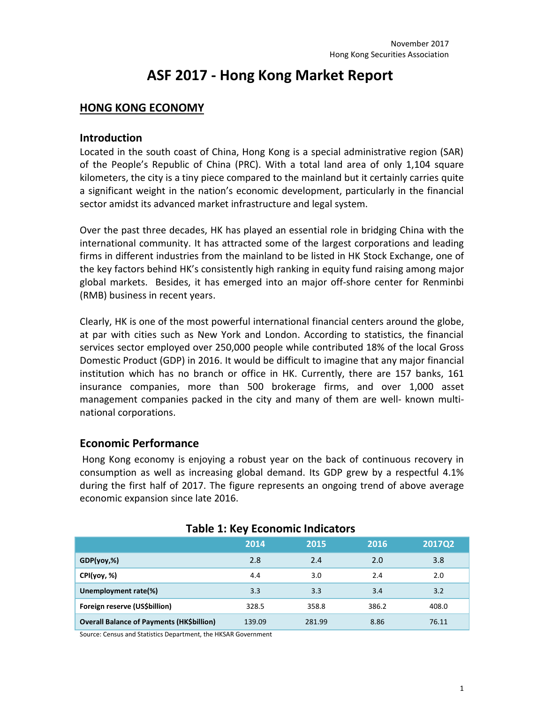# **ASF 2017 - Hong Kong Market Report**

#### **HONG KONG ECONOMY**

#### **Introduction**

Located in the south coast of China, Hong Kong is a special administrative region (SAR) of the People's Republic of China (PRC). With a total land area of only 1,104 square kilometers, the city is a tiny piece compared to the mainland but it certainly carries quite a significant weight in the nation's economic development, particularly in the financial sector amidst its advanced market infrastructure and legal system.

Over the past three decades, HK has played an essential role in bridging China with the international community. It has attracted some of the largest corporations and leading firms in different industries from the mainland to be listed in HK Stock Exchange, one of the key factors behind HK's consistently high ranking in equity fund raising among major global markets. Besides, it has emerged into an major off-shore center for Renminbi (RMB) business in recent years.

Clearly, HK is one of the most powerful international financial centers around the globe, at par with cities such as New York and London. According to statistics, the financial services sector employed over 250,000 people while contributed 18% of the local Gross Domestic Product (GDP) in 2016. It would be difficult to imagine that any major financial institution which has no branch or office in HK. Currently, there are 157 banks, 161 insurance companies, more than 500 brokerage firms, and over 1,000 asset management companies packed in the city and many of them are well- known multinational corporations.

#### **Economic Performance**

Hong Kong economy is enjoying a robust year on the back of continuous recovery in consumption as well as increasing global demand. Its GDP grew by a respectful 4.1% during the first half of 2017. The figure represents an ongoing trend of above average economic expansion since late 2016.

| Table 1. Rey LCONOTING INDICATORS                |        |        |       |               |  |  |  |
|--------------------------------------------------|--------|--------|-------|---------------|--|--|--|
|                                                  | 2014   | 2015   | 2016  | <b>2017Q2</b> |  |  |  |
| $GDP(yoy,\%)$                                    | 2.8    | 2.4    | 2.0   | 3.8           |  |  |  |
| CPI(yoy, %)                                      | 4.4    | 3.0    | 2.4   | 2.0           |  |  |  |
| Unemployment rate(%)                             | 3.3    | 3.3    | 3.4   | 3.2           |  |  |  |
| Foreign reserve (US\$billion)                    | 328.5  | 358.8  | 386.2 | 408.0         |  |  |  |
| <b>Overall Balance of Payments (HK\$billion)</b> | 139.09 | 281.99 | 8.86  | 76.11         |  |  |  |

#### **Table 1: Key Economic Indicators**

Source: Census and Statistics Department, the HKSAR Government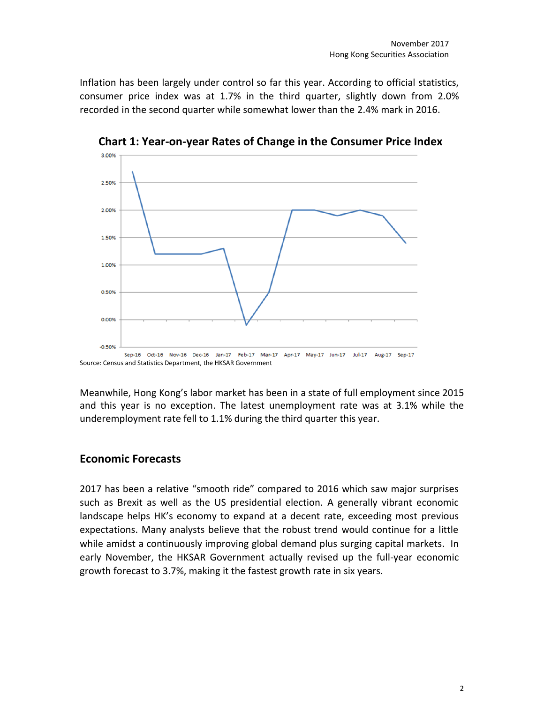Inflation has been largely under control so far this year. According to official statistics, consumer price index was at 1.7% in the third quarter, slightly down from 2.0% recorded in the second quarter while somewhat lower than the 2.4% mark in 2016.



**Chart 1: Year-on-year Rates of Change in the Consumer Price Index**

Meanwhile, Hong Kong's labor market has been in a state of full employment since 2015 and this year is no exception. The latest unemployment rate was at 3.1% while the underemployment rate fell to 1.1% during the third quarter this year.

#### **Economic Forecasts**

2017 has been a relative "smooth ride" compared to 2016 which saw major surprises such as Brexit as well as the US presidential election. A generally vibrant economic landscape helps HK's economy to expand at a decent rate, exceeding most previous expectations. Many analysts believe that the robust trend would continue for a little while amidst a continuously improving global demand plus surging capital markets. In early November, the HKSAR Government actually revised up the full-year economic growth forecast to 3.7%, making it the fastest growth rate in six years.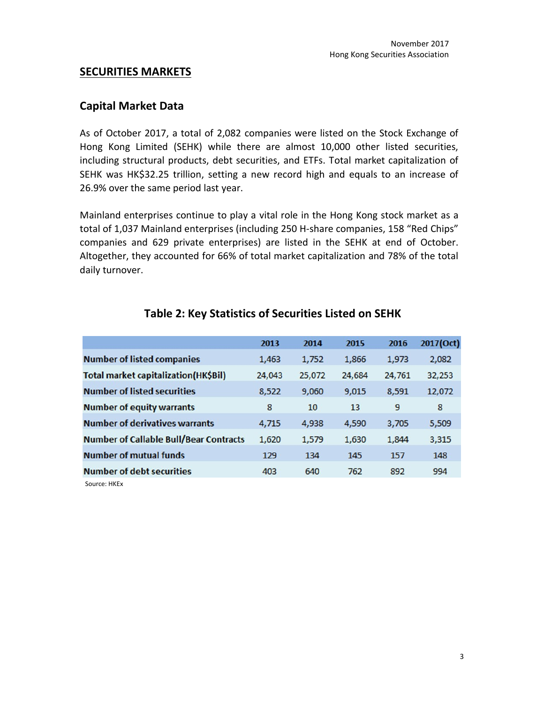#### **SECURITIES MARKETS**

#### **Capital Market Data**

As of October 2017, a total of 2,082 companies were listed on the Stock Exchange of Hong Kong Limited (SEHK) while there are almost 10,000 other listed securities, including structural products, debt securities, and ETFs. Total market capitalization of SEHK was HK\$32.25 trillion, setting a new record high and equals to an increase of 26.9% over the same period last year.

Mainland enterprises continue to play a vital role in the Hong Kong stock market as a total of 1,037 Mainland enterprises (including 250 H-share companies, 158 "Red Chips" companies and 629 private enterprises) are listed in the SEHK at end of October. Altogether, they accounted for 66% of total market capitalization and 78% of the total daily turnover.

|                                               | 2013   | 2014   | 2015   | 2016   | 2017(Oct) |
|-----------------------------------------------|--------|--------|--------|--------|-----------|
| <b>Number of listed companies</b>             | 1,463  | 1,752  | 1,866  | 1,973  | 2,082     |
| Total market capitalization(HK\$Bil)          | 24,043 | 25,072 | 24,684 | 24,761 | 32,253    |
| <b>Number of listed securities</b>            | 8,522  | 9,060  | 9,015  | 8,591  | 12,072    |
| <b>Number of equity warrants</b>              | 8      | 10     | 13     | 9      | 8         |
| <b>Number of derivatives warrants</b>         | 4.715  | 4,938  | 4,590  | 3,705  | 5,509     |
| <b>Number of Callable Bull/Bear Contracts</b> | 1,620  | 1,579  | 1,630  | 1,844  | 3,315     |
| <b>Number of mutual funds</b>                 | 129    | 134    | 145    | 157    | 148       |
| <b>Number of debt securities</b>              | 403    | 640    | 762    | 892    | 994       |
| 0.11177                                       |        |        |        |        |           |

#### **Table 2: Key Statistics of Securities Listed on SEHK**

Source: HKEx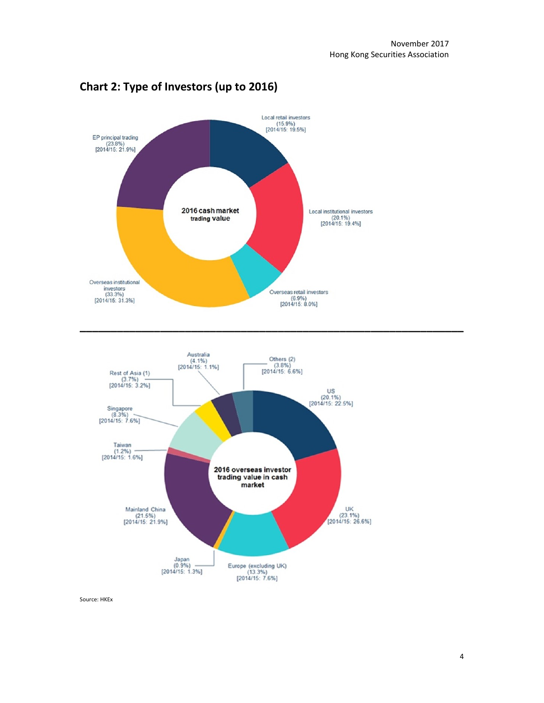

# **Chart 2: Type of Investors (up to 2016)**

Source: HKEx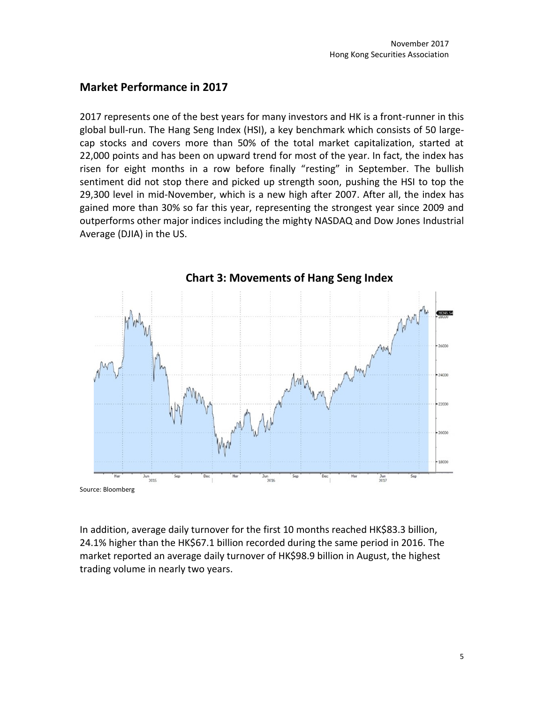#### **Market Performance in 2017**

2017 represents one of the best years for many investors and HK is a front-runner in this global bull-run. The Hang Seng Index (HSI), a key benchmark which consists of 50 largecap stocks and covers more than 50% of the total market capitalization, started at 22,000 points and has been on upward trend for most of the year. In fact, the index has risen for eight months in a row before finally "resting" in September. The bullish sentiment did not stop there and picked up strength soon, pushing the HSI to top the 29,300 level in mid-November, which is a new high after 2007. After all, the index has gained more than 30% so far this year, representing the strongest year since 2009 and outperforms other major indices including the mighty NASDAQ and Dow Jones Industrial Average (DJIA) in the US.



In addition, average daily turnover for the first 10 months reached HK\$83.3 billion, 24.1% higher than the HK\$67.1 billion recorded during the same period in 2016. The market reported an average daily turnover of HK\$98.9 billion in August, the highest trading volume in nearly two years.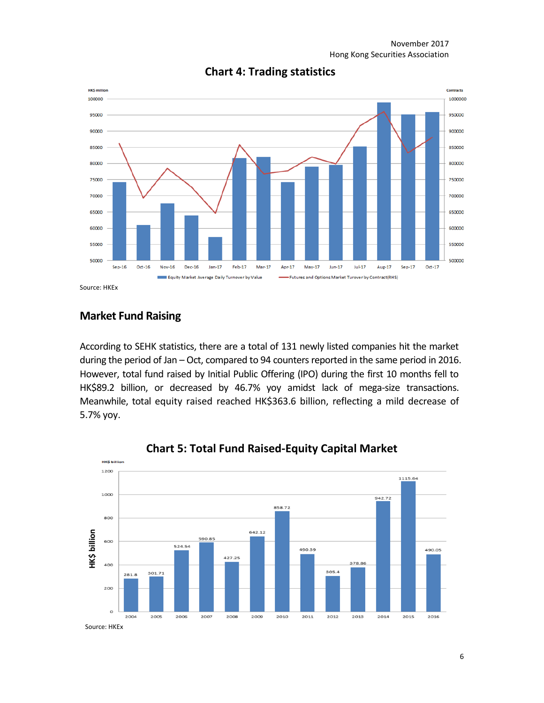

#### **Chart 4: Trading statistics**

Source: HKEx

## **Market Fund Raising**

According to SEHK statistics, there are a total of 131 newly listed companies hit the market during the period of Jan – Oct, compared to 94 counters reported in the same period in 2016. However, total fund raised by Initial Public Offering (IPO) during the first 10 months fell to HK\$89.2 billion, or decreased by 46.7% yoy amidst lack of mega-size transactions. Meanwhile, total equity raised reached HK\$363.6 billion, reflecting a mild decrease of 5.7% yoy.



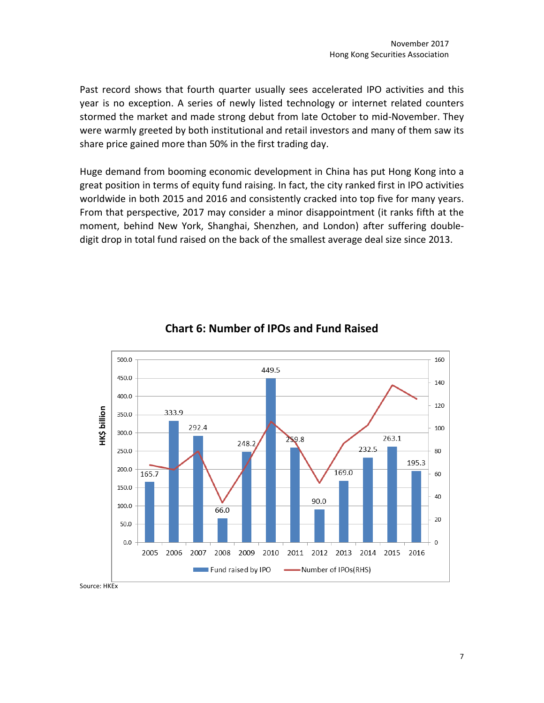Past record shows that fourth quarter usually sees accelerated IPO activities and this year is no exception. A series of newly listed technology or internet related counters stormed the market and made strong debut from late October to mid-November. They were warmly greeted by both institutional and retail investors and many of them saw its share price gained more than 50% in the first trading day.

Huge demand from booming economic development in China has put Hong Kong into a great position in terms of equity fund raising. In fact, the city ranked first in IPO activities worldwide in both 2015 and 2016 and consistently cracked into top five for many years. From that perspective, 2017 may consider a minor disappointment (it ranks fifth at the moment, behind New York, Shanghai, Shenzhen, and London) after suffering doubledigit drop in total fund raised on the back of the smallest average deal size since 2013.



# **Chart 6: Number of IPOs and Fund Raised**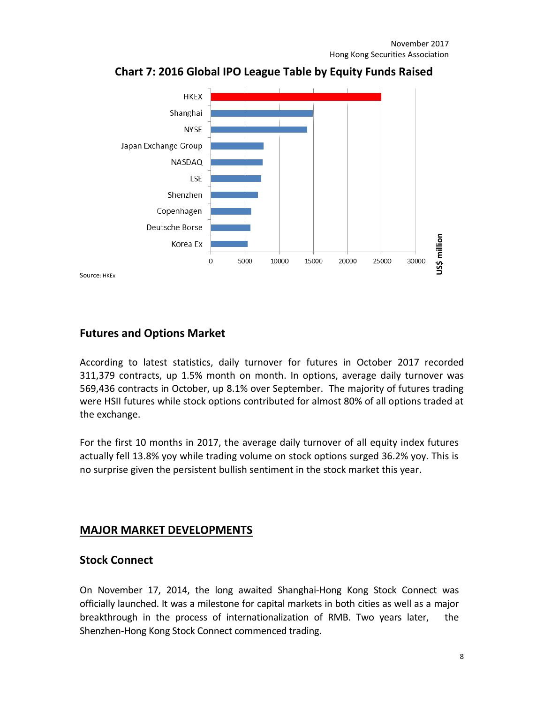

**Chart 7: 2016 Global IPO League Table by Equity Funds Raised**

# **Futures and Options Market**

According to latest statistics, daily turnover for futures in October 2017 recorded 311,379 contracts, up 1.5% month on month. In options, average daily turnover was 569,436 contracts in October, up 8.1% over September. The majority of futures trading were HSII futures while stock options contributed for almost 80% of all options traded at the exchange.

For the first 10 months in 2017, the average daily turnover of all equity index futures actually fell 13.8% yoy while trading volume on stock options surged 36.2% yoy. This is no surprise given the persistent bullish sentiment in the stock market this year.

# **MAJOR MARKET DEVELOPMENTS**

## **Stock Connect**

On November 17, 2014, the long awaited Shanghai-Hong Kong Stock Connect was officially launched. It was a milestone for capital markets in both cities as well as a major breakthrough in the process of internationalization of RMB. Two years later, the Shenzhen-Hong Kong Stock Connect commenced trading.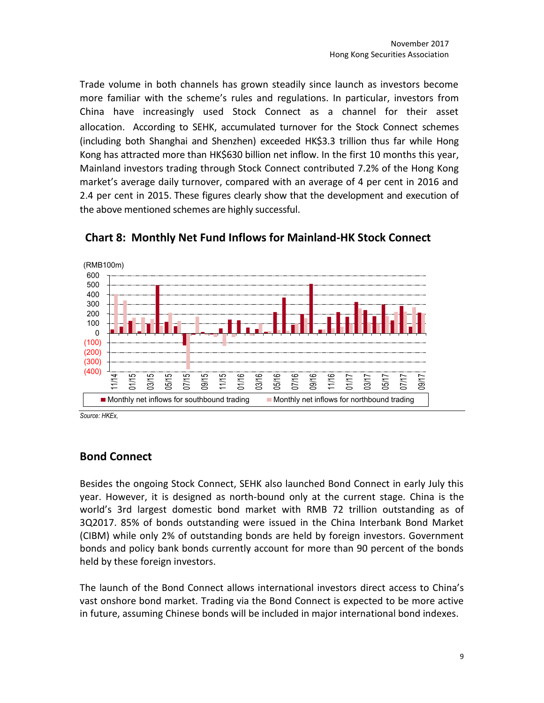Trade volume in both channels has grown steadily since launch as investors become more familiar with the scheme's rules and regulations. In particular, investors from China have increasingly used Stock Connect as a channel for their asset allocation. According to SEHK, accumulated turnover for the Stock Connect schemes (including both Shanghai and Shenzhen) exceeded HK\$3.3 trillion thus far while Hong Kong has attracted more than HK\$630 billion net inflow. In the first 10 months this year, Mainland investors trading through Stock Connect contributed 7.2% of the Hong Kong market's average daily turnover, compared with an average of 4 per cent in 2016 and 2.4 per cent in 2015. These figures clearly show that the development and execution of the above mentioned schemes are highly successful.



## **Chart 8: Monthly Net Fund Inflows for Mainland-HK Stock Connect**

*Source: HKEx,*

## **Bond Connect**

Besides the ongoing Stock Connect, SEHK also launched Bond Connect in early July this year. However, it is designed as north-bound only at the current stage. China is the world's 3rd largest domestic bond market with RMB 72 trillion outstanding as of 3Q2017. 85% of bonds outstanding were issued in the China Interbank Bond Market (CIBM) while only 2% of outstanding bonds are held by foreign investors. Government bonds and policy bank bonds currently account for more than 90 percent of the bonds held by these foreign investors.

The launch of the Bond Connect allows international investors direct access to China's vast onshore bond market. Trading via the Bond Connect is expected to be more active in future, assuming Chinese bonds will be included in major international bond indexes.